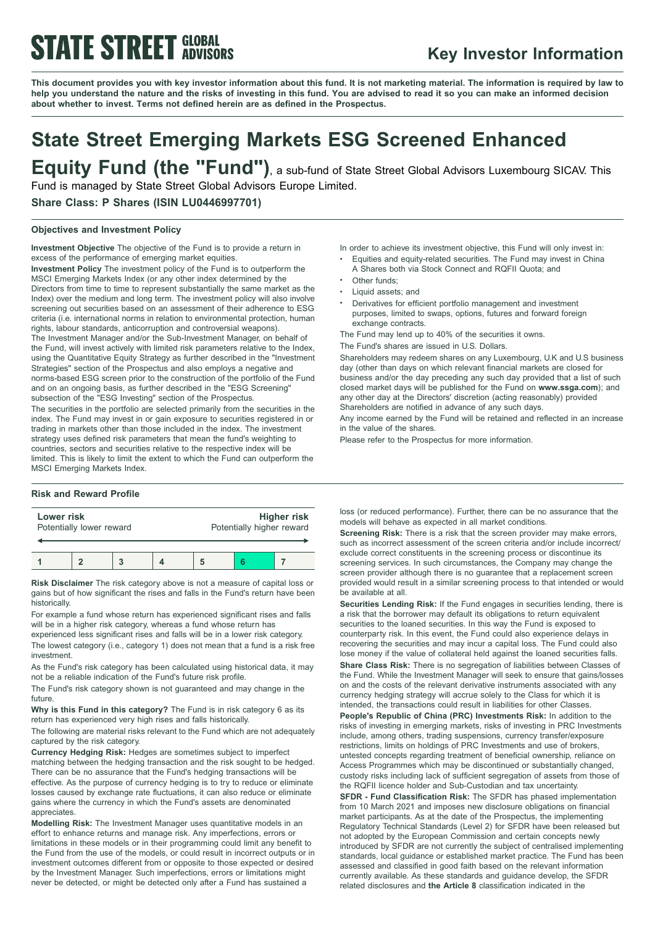# **STATE STREET GLOBAL**

### **Key Investor Information**

This document provides you with key investor information about this fund. It is not marketing material. The information is required by law to help you understand the nature and the risks of investing in this fund. You are advised to read it so you can make an informed decision **about whether to invest. Terms not defined herein are as defined in the Prospectus.**

### **State Street Emerging Markets ESG Screened Enhanced Equity Fund (the "Fund")**, <sup>a</sup> sub-fund of State Street Global Advisors Luxembourg SICAV. This

Fund is managed by State Street Global Advisors Europe Limited.

### **Share Class: P Shares (ISIN LU0446997701)**

### **Objectives and Investment Policy**

**Investment Objective** The objective of the Fund is to provide a return in excess of the performance of emerging market equities.

**Investment Policy** The investment policy of the Fund is to outperform the MSCI Emerging Markets Index (or any other index determined by the Directors from time to time to represent substantially the same market as the Index) over the medium and long term. The investment policy will also involve screening out securities based on an assessment of their adherence to ESG criteria (i.e. international norms in relation to environmental protection, human rights, labour standards, anticorruption and controversial weapons). The Investment Manager and/or the Sub-Investment Manager, on behalf of the Fund, will invest actively with limited risk parameters relative to the Index, using the Quantitative Equity Strategy as further described in the "Investment Strategies" section of the Prospectus and also employs a negative and norms-based ESG screen prior to the construction of the portfolio of the Fund and on an ongoing basis, as further described in the "ESG Screening" subsection of the "ESG Investing" section of the Prospectus.

The securities in the portfolio are selected primarily from the securities in the index. The Fund may invest in or gain exposure to securities registered in or trading in markets other than those included in the index. The investment strategy uses defined risk parameters that mean the fund's weighting to countries, sectors and securities relative to the respective index will be limited. This is likely to limit the extent to which the Fund can outperform the MSCI Emerging Markets Index.

#### **Risk and Reward Profile**

| Lower risk               |  |  |  | Higher risk               |  |  |
|--------------------------|--|--|--|---------------------------|--|--|
| Potentially lower reward |  |  |  | Potentially higher reward |  |  |
|                          |  |  |  |                           |  |  |

**Risk Disclaimer** The risk category above is not a measure of capital loss or gains but of how significant the rises and falls in the Fund's return have been historically.

For example a fund whose return has experienced significant rises and falls will be in a higher risk category, whereas a fund whose return has

experienced less significant rises and falls will be in a lower risk category. The lowest category (i.e., category 1) does not mean that a fund is a risk free investment.

As the Fund's risk category has been calculated using historical data, it may not be a reliable indication of the Fund's future risk profile.

The Fund's risk category shown is not guaranteed and may change in the future.

**Why is this Fund in this category?** The Fund is in risk category 6 as its return has experienced very high rises and falls historically.

The following are material risks relevant to the Fund which are not adequately captured by the risk category.

**Currency Hedging Risk:** Hedges are sometimes subject to imperfect matching between the hedging transaction and the risk sought to be hedged. There can be no assurance that the Fund's hedging transactions will be effective. As the purpose of currency hedging is to try to reduce or eliminate losses caused by exchange rate fluctuations, it can also reduce or eliminate gains where the currency in which the Fund's assets are denominated appreciates.

**Modelling Risk:** The Investment Manager uses quantitative models in an effort to enhance returns and manage risk. Any imperfections, errors or limitations in these models or in their programming could limit any benefit to the Fund from the use of the models, or could result in incorrect outputs or in investment outcomes different from or opposite to those expected or desired by the Investment Manager. Such imperfections, errors or limitations might never be detected, or might be detected only after a Fund has sustained a

In order to achieve its investment objective, this Fund will only invest in:

- <sup>b</sup> Equities and equity-related securities. The Fund may invest in China A Shares both via Stock Connect and RQFII Quota; and
- Other funds;
- Liquid assets; and
- <sup>b</sup> Derivatives for efficient portfolio management and investment purposes, limited to swaps, options, futures and forward foreign exchange contracts.

The Fund may lend up to 40% of the securities it owns.

The Fund's shares are issued in U.S. Dollars.

Shareholders may redeem shares on any Luxembourg, U.K and U.S business day (other than days on which relevant financial markets are closed for business and/or the day preceding any such day provided that a list of such closed market days will be published for the Fund on **www.ssga.com**); and any other day at the Directors' discretion (acting reasonably) provided Shareholders are notified in advance of any such days.

Any income earned by the Fund will be retained and reflected in an increase in the value of the shares.

Please refer to the Prospectus for more information.

loss (or reduced performance). Further, there can be no assurance that the models will behave as expected in all market conditions.

**Screening Risk:** There is a risk that the screen provider may make errors, such as incorrect assessment of the screen criteria and/or include incorrect/ exclude correct constituents in the screening process or discontinue its screening services. In such circumstances, the Company may change the screen provider although there is no guarantee that a replacement screen provided would result in a similar screening process to that intended or would be available at all.

**Securities Lending Risk:** If the Fund engages in securities lending, there is a risk that the borrower may default its obligations to return equivalent securities to the loaned securities. In this way the Fund is exposed to counterparty risk. In this event, the Fund could also experience delays in recovering the securities and may incur a capital loss. The Fund could also lose money if the value of collateral held against the loaned securities falls.

**Share Class Risk:** There is no segregation of liabilities between Classes of the Fund. While the Investment Manager will seek to ensure that gains/losses on and the costs of the relevant derivative instruments associated with any currency hedging strategy will accrue solely to the Class for which it is intended, the transactions could result in liabilities for other Classes.

**People's Republic of China (PRC) Investments Risk:** In addition to the risks of investing in emerging markets, risks of investing in PRC Investments include, among others, trading suspensions, currency transfer/exposure restrictions, limits on holdings of PRC Investments and use of brokers, untested concepts regarding treatment of beneficial ownership, reliance on Access Programmes which may be discontinued or substantially changed, custody risks including lack of sufficient segregation of assets from those of the RQFII licence holder and Sub-Custodian and tax uncertainty.

**SFDR - Fund Classification Risk:** The SFDR has phased implementation from 10 March 2021 and imposes new disclosure obligations on financial market participants. As at the date of the Prospectus, the implementing Regulatory Technical Standards (Level 2) for SFDR have been released but not adopted by the European Commission and certain concepts newly introduced by SFDR are not currently the subject of centralised implementing standards, local guidance or established market practice. The Fund has been assessed and classified in good faith based on the relevant information currently available. As these standards and guidance develop, the SFDR related disclosures and **the Article 8** classification indicated in the